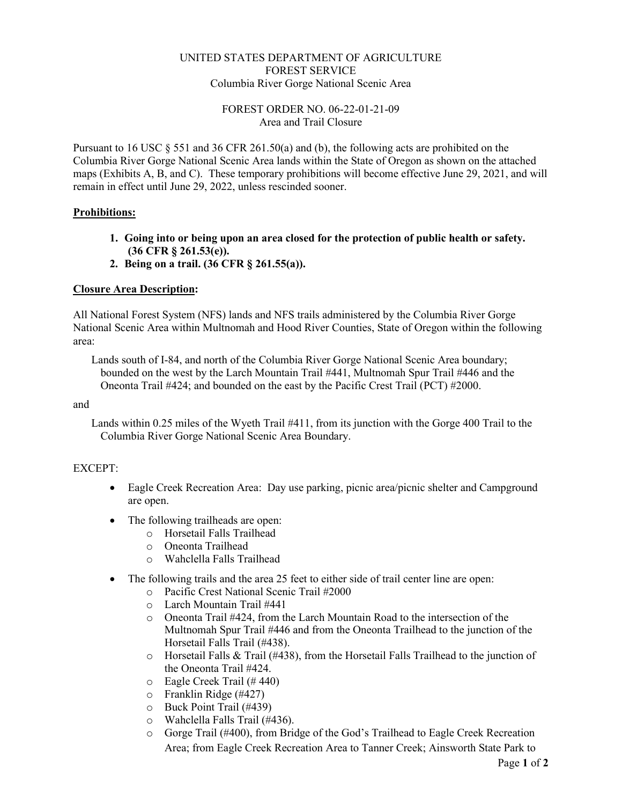# UNITED STATES DEPARTMENT OF AGRICULTURE FOREST SERVICE Columbia River Gorge National Scenic Area

# FOREST ORDER NO. 06-22-01-21-09 Area and Trail Closure

Pursuant to 16 USC  $\S$  551 and 36 CFR 261.50(a) and (b), the following acts are prohibited on the Columbia River Gorge National Scenic Area lands within the State of Oregon as shown on the attached maps (Exhibits A, B, and C). These temporary prohibitions will become effective June 29, 2021, and will remain in effect until June 29, 2022, unless rescinded sooner.

# **Prohibitions:**

- **1. Going into or being upon an area closed for the protection of public health or safety. (36 CFR § 261.53(e)).**
- **2. Being on a trail. (36 CFR § 261.55(a)).**

# **Closure Area Description:**

All National Forest System (NFS) lands and NFS trails administered by the Columbia River Gorge National Scenic Area within Multnomah and Hood River Counties, State of Oregon within the following area:

Lands south of I-84, and north of the Columbia River Gorge National Scenic Area boundary; bounded on the west by the Larch Mountain Trail #441, Multnomah Spur Trail #446 and the Oneonta Trail #424; and bounded on the east by the Pacific Crest Trail (PCT) #2000.

### and

Lands within 0.25 miles of the Wyeth Trail #411, from its junction with the Gorge 400 Trail to the Columbia River Gorge National Scenic Area Boundary.

### EXCEPT:

- Eagle Creek Recreation Area: Day use parking, picnic area/picnic shelter and Campground are open.
- The following trailheads are open:
	- o Horsetail Falls Trailhead
	- o Oneonta Trailhead
	- o Wahclella Falls Trailhead
- The following trails and the area 25 feet to either side of trail center line are open:
	- o Pacific Crest National Scenic Trail #2000
	- o Larch Mountain Trail #441
	- Oneonta Trail #424, from the Larch Mountain Road to the intersection of the Multnomah Spur Trail #446 and from the Oneonta Trailhead to the junction of the Horsetail Falls Trail (#438).
	- $\circ$  Horsetail Falls & Trail (#438), from the Horsetail Falls Trailhead to the junction of the Oneonta Trail #424.
	- o Eagle Creek Trail (# 440)
	- o Franklin Ridge (#427)
	- o Buck Point Trail (#439)
	- o Wahclella Falls Trail (#436).
	- o Gorge Trail (#400), from Bridge of the God's Trailhead to Eagle Creek Recreation Area; from Eagle Creek Recreation Area to Tanner Creek; Ainsworth State Park to